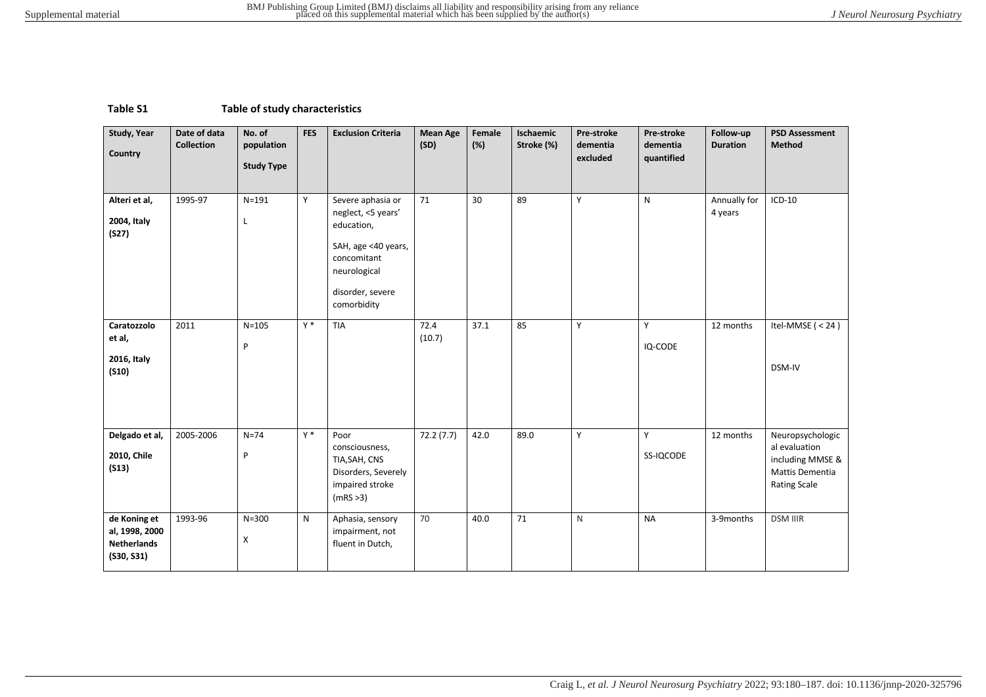## **Table S1 Table of study characteristics**

| Study, Year<br>Country                                             | Date of data<br><b>Collection</b> | No. of<br>population<br><b>Study Type</b> | <b>FES</b>   | <b>Exclusion Criteria</b>                                                                                                                      | <b>Mean Age</b><br>(SD) | Female<br>(%) | Ischaemic<br>Stroke (%) | Pre-stroke<br>dementia<br>excluded | Pre-stroke<br>dementia<br>quantified | Follow-up<br><b>Duration</b> | <b>PSD Assessment</b><br><b>Method</b>                                                          |
|--------------------------------------------------------------------|-----------------------------------|-------------------------------------------|--------------|------------------------------------------------------------------------------------------------------------------------------------------------|-------------------------|---------------|-------------------------|------------------------------------|--------------------------------------|------------------------------|-------------------------------------------------------------------------------------------------|
| Alteri et al,<br>2004, Italy<br>(S27)                              | 1995-97                           | $N = 191$<br>Г                            | Y            | Severe aphasia or<br>neglect, <5 years'<br>education,<br>SAH, age <40 years,<br>concomitant<br>neurological<br>disorder, severe<br>comorbidity | 71                      | 30            | 89                      | Υ                                  | $\mathsf{N}$                         | Annually for<br>4 years      | $ICD-10$                                                                                        |
| Caratozzolo<br>et al,<br>2016, Italy<br>(510)                      | 2011                              | $N = 105$<br>P                            | $Y^*$        | <b>TIA</b>                                                                                                                                     | 72.4<br>(10.7)          | 37.1          | 85                      | Y                                  | Y<br>IQ-CODE                         | 12 months                    | Itel-MMSE $(< 24)$<br>DSM-IV                                                                    |
| Delgado et al,<br>2010, Chile<br>(S13)                             | 2005-2006                         | $N=74$<br>P                               | $Y^*$        | Poor<br>consciousness,<br>TIA, SAH, CNS<br>Disorders, Severely<br>impaired stroke<br>(mRS > 3)                                                 | 72.2(7.7)               | 42.0          | 89.0                    | Y                                  | Y<br>SS-IQCODE                       | 12 months                    | Neuropsychologic<br>al evaluation<br>including MMSE &<br>Mattis Dementia<br><b>Rating Scale</b> |
| de Koning et<br>al, 1998, 2000<br><b>Netherlands</b><br>(530, 531) | 1993-96                           | $N = 300$<br>X                            | $\mathsf{N}$ | Aphasia, sensory<br>impairment, not<br>fluent in Dutch,                                                                                        | 70                      | 40.0          | 71                      | ${\sf N}$                          | <b>NA</b>                            | 3-9months                    | <b>DSM IIIR</b>                                                                                 |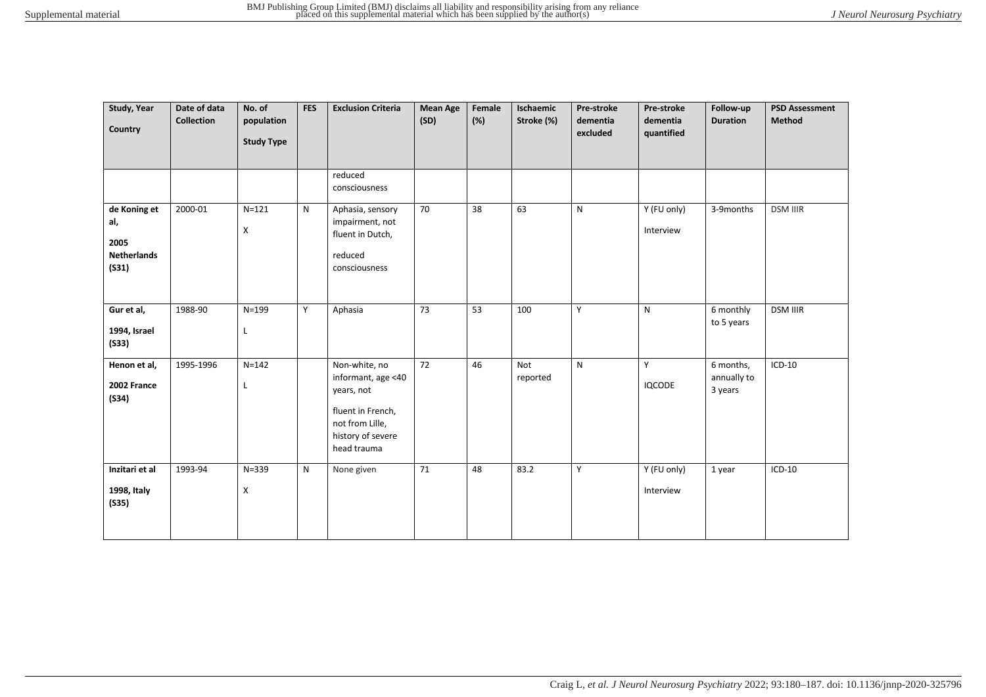| Study, Year<br>Country                                     | Date of data<br><b>Collection</b> | No. of<br>population<br><b>Study Type</b> | <b>FES</b>   | <b>Exclusion Criteria</b>                                                                                                     | <b>Mean Age</b><br>(SD) | Female<br>(%) | Ischaemic<br>Stroke (%) | Pre-stroke<br>dementia<br>excluded | Pre-stroke<br>dementia<br>quantified | Follow-up<br><b>Duration</b>        | <b>PSD Assessment</b><br>Method |
|------------------------------------------------------------|-----------------------------------|-------------------------------------------|--------------|-------------------------------------------------------------------------------------------------------------------------------|-------------------------|---------------|-------------------------|------------------------------------|--------------------------------------|-------------------------------------|---------------------------------|
|                                                            |                                   |                                           |              | reduced<br>consciousness                                                                                                      |                         |               |                         |                                    |                                      |                                     |                                 |
| de Koning et<br>al,<br>2005<br><b>Netherlands</b><br>(S31) | 2000-01                           | $N = 121$<br>X                            | N            | Aphasia, sensory<br>impairment, not<br>fluent in Dutch,<br>reduced<br>consciousness                                           | 70                      | 38            | 63                      | $\mathsf{N}$                       | Y (FU only)<br>Interview             | 3-9months                           | <b>DSM IIIR</b>                 |
| Gur et al,<br>1994, Israel<br>(S33)                        | 1988-90                           | $N = 199$<br>L                            | Y            | Aphasia                                                                                                                       | 73                      | 53            | 100                     | Y                                  | N                                    | 6 monthly<br>to 5 years             | <b>DSM IIIR</b>                 |
| Henon et al,<br>2002 France<br>(S34)                       | 1995-1996                         | $N = 142$<br>Г                            |              | Non-white, no<br>informant, age <40<br>years, not<br>fluent in French,<br>not from Lille,<br>history of severe<br>head trauma | 72                      | 46            | Not<br>reported         | $\mathsf{N}$                       | Y<br><b>IQCODE</b>                   | 6 months,<br>annually to<br>3 years | $ICD-10$                        |
| Inzitari et al<br>1998, Italy<br>(S35)                     | 1993-94                           | $N = 339$<br>X                            | $\mathsf{N}$ | None given                                                                                                                    | 71                      | 48            | 83.2                    | Y                                  | Y (FU only)<br>Interview             | 1 year                              | $ICD-10$                        |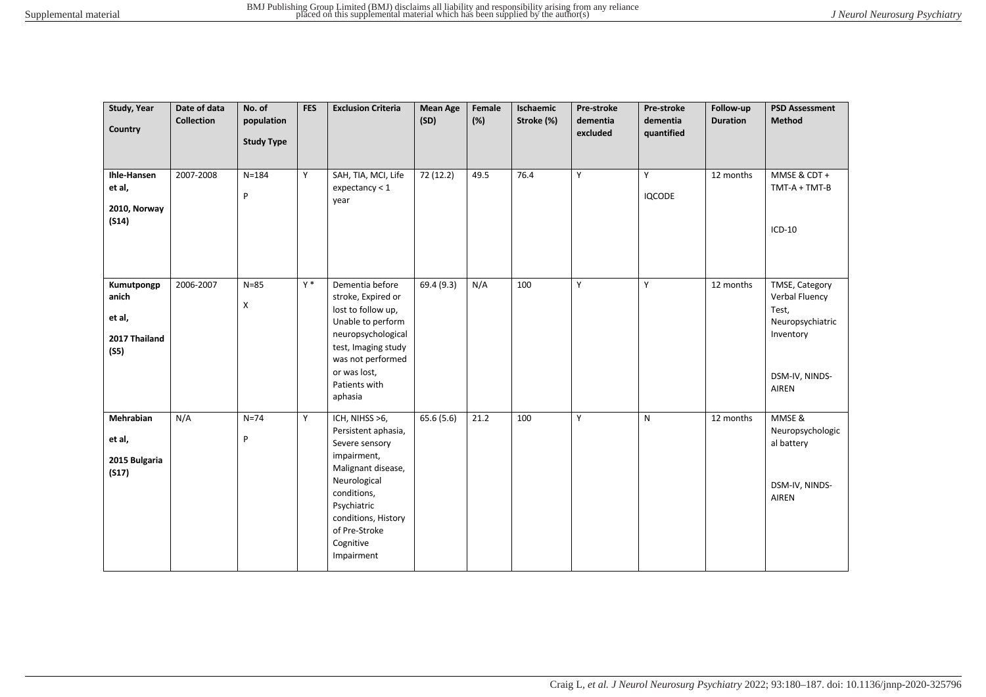| Study, Year<br>Country                                 | Date of data<br><b>Collection</b> | No. of<br>population<br><b>Study Type</b> | <b>FES</b> | <b>Exclusion Criteria</b>                                                                                                                                                                                     | <b>Mean Age</b><br>(SD) | Female<br>(%) | Ischaemic<br>Stroke (%) | Pre-stroke<br>dementia<br>excluded | Pre-stroke<br>dementia<br>quantified | Follow-up<br><b>Duration</b> | <b>PSD Assessment</b><br><b>Method</b>                                                                       |
|--------------------------------------------------------|-----------------------------------|-------------------------------------------|------------|---------------------------------------------------------------------------------------------------------------------------------------------------------------------------------------------------------------|-------------------------|---------------|-------------------------|------------------------------------|--------------------------------------|------------------------------|--------------------------------------------------------------------------------------------------------------|
| Ihle-Hansen<br>et al,<br>2010, Norway<br>(S14)         | 2007-2008                         | $N = 184$<br>P                            | Y          | SAH, TIA, MCI, Life<br>expectancy < 1<br>year                                                                                                                                                                 | 72 (12.2)               | 49.5          | 76.4                    | Y                                  | Y<br><b>IQCODE</b>                   | 12 months                    | MMSE & CDT +<br>$TMT-A + TMT-B$<br>$ICD-10$                                                                  |
| Kumutpongp<br>anich<br>et al,<br>2017 Thailand<br>(S5) | 2006-2007                         | $N = 85$<br>X                             | $Y^*$      | Dementia before<br>stroke, Expired or<br>lost to follow up,<br>Unable to perform<br>neuropsychological<br>test, Imaging study<br>was not performed<br>or was lost,<br>Patients with<br>aphasia                | 69.4 (9.3)              | N/A           | 100                     | Y                                  | Y                                    | 12 months                    | TMSE, Category<br>Verbal Fluency<br>Test,<br>Neuropsychiatric<br>Inventory<br>DSM-IV, NINDS-<br><b>AIREN</b> |
| Mehrabian<br>et al,<br>2015 Bulgaria<br>(S17)          | N/A                               | $N=74$<br>P                               | Y          | ICH, NIHSS >6,<br>Persistent aphasia,<br>Severe sensory<br>impairment,<br>Malignant disease,<br>Neurological<br>conditions,<br>Psychiatric<br>conditions, History<br>of Pre-Stroke<br>Cognitive<br>Impairment | 65.6 (5.6)              | 21.2          | 100                     | Y                                  | ${\sf N}$                            | 12 months                    | MMSE &<br>Neuropsychologic<br>al battery<br>DSM-IV, NINDS-<br>AIREN                                          |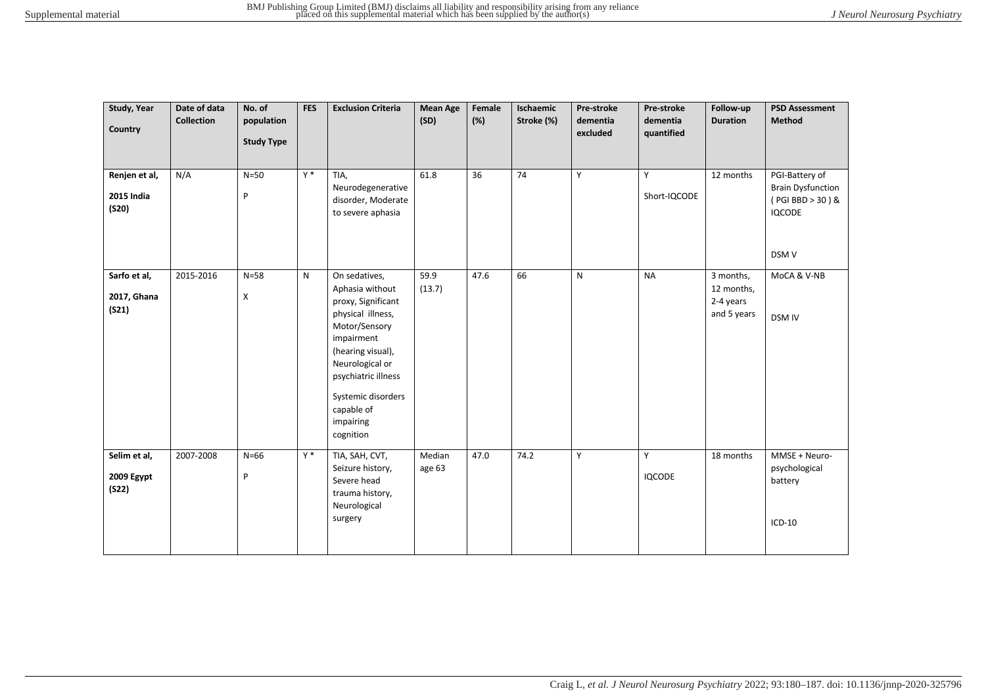| Study, Year<br>Country                      | Date of data<br><b>Collection</b> | No. of<br>population<br><b>Study Type</b> | <b>FES</b> | <b>Exclusion Criteria</b>                                                                                                                                                                                                               | <b>Mean Age</b><br>(SD) | Female<br>(%) | Ischaemic<br>Stroke (%) | Pre-stroke<br>dementia<br>excluded | Pre-stroke<br>dementia<br>quantified | Follow-up<br><b>Duration</b>                        | <b>PSD Assessment</b><br><b>Method</b>                                                   |
|---------------------------------------------|-----------------------------------|-------------------------------------------|------------|-----------------------------------------------------------------------------------------------------------------------------------------------------------------------------------------------------------------------------------------|-------------------------|---------------|-------------------------|------------------------------------|--------------------------------------|-----------------------------------------------------|------------------------------------------------------------------------------------------|
| Renjen et al,<br><b>2015 India</b><br>(S20) | N/A                               | $N=50$<br>P                               | $Y^*$      | TIA,<br>Neurodegenerative<br>disorder, Moderate<br>to severe aphasia                                                                                                                                                                    | 61.8                    | 36            | 74                      | Y                                  | Y<br>Short-IQCODE                    | 12 months                                           | PGI-Battery of<br><b>Brain Dysfunction</b><br>(PGI BBD > 30) &<br><b>IQCODE</b><br>DSM V |
| Sarfo et al,<br>2017, Ghana<br>(S21)        | 2015-2016                         | $N = 58$<br>X                             | N          | On sedatives,<br>Aphasia without<br>proxy, Significant<br>physical illness,<br>Motor/Sensory<br>impairment<br>(hearing visual),<br>Neurological or<br>psychiatric illness<br>Systemic disorders<br>capable of<br>impairing<br>cognition | 59.9<br>(13.7)          | 47.6          | 66                      | $\mathsf{N}$                       | <b>NA</b>                            | 3 months,<br>12 months,<br>2-4 years<br>and 5 years | MoCA & V-NB<br><b>DSM IV</b>                                                             |
| Selim et al,<br>2009 Egypt<br>(S22)         | 2007-2008                         | $N=66$<br>P                               | $Y^*$      | TIA, SAH, CVT,<br>Seizure history,<br>Severe head<br>trauma history,<br>Neurological<br>surgery                                                                                                                                         | Median<br>age 63        | 47.0          | 74.2                    | Y                                  | Y<br><b>IQCODE</b>                   | 18 months                                           | MMSE + Neuro-<br>psychological<br>battery<br>$ICD-10$                                    |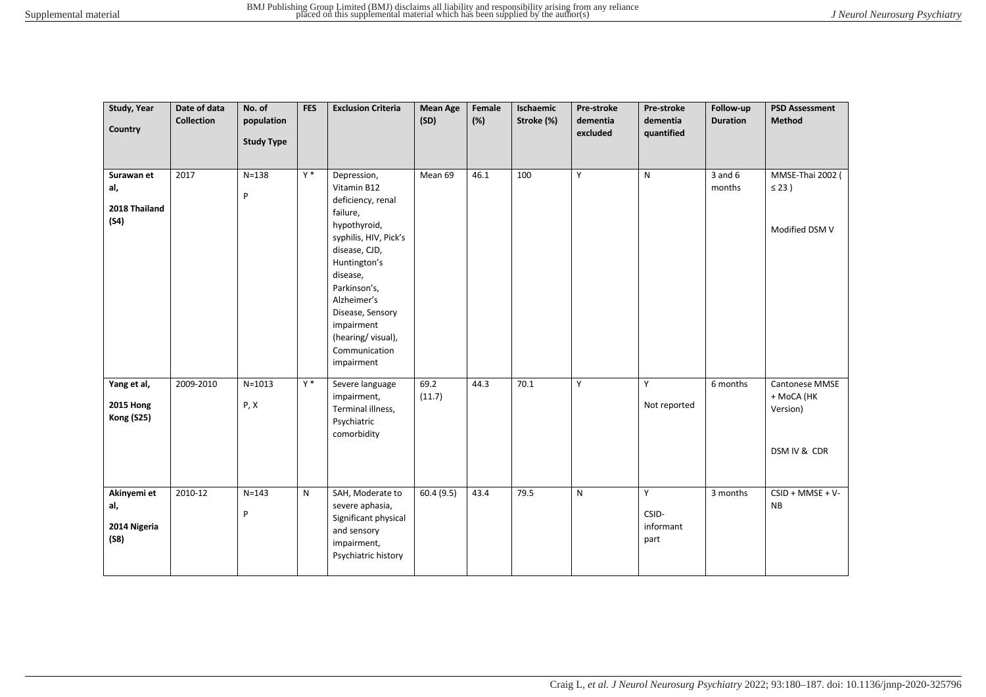| Study, Year<br>Country                               | Date of data<br><b>Collection</b> | No. of<br>population<br><b>Study Type</b> | <b>FES</b> | <b>Exclusion Criteria</b>                                                                                                                                                                                                                                              | <b>Mean Age</b><br>(SD) | Female<br>(%) | Ischaemic<br>Stroke (%) | Pre-stroke<br>dementia<br>excluded | Pre-stroke<br>dementia<br>quantified | Follow-up<br><b>Duration</b> | <b>PSD Assessment</b><br><b>Method</b>                   |
|------------------------------------------------------|-----------------------------------|-------------------------------------------|------------|------------------------------------------------------------------------------------------------------------------------------------------------------------------------------------------------------------------------------------------------------------------------|-------------------------|---------------|-------------------------|------------------------------------|--------------------------------------|------------------------------|----------------------------------------------------------|
| Surawan et<br>al,<br>2018 Thailand<br>(S4)           | 2017                              | $N = 138$<br>$\sf P$                      | $Y^*$      | Depression,<br>Vitamin B12<br>deficiency, renal<br>failure,<br>hypothyroid,<br>syphilis, HIV, Pick's<br>disease, CJD,<br>Huntington's<br>disease,<br>Parkinson's,<br>Alzheimer's<br>Disease, Sensory<br>impairment<br>(hearing/visual),<br>Communication<br>impairment | Mean 69                 | 46.1          | 100                     | Y                                  | $\mathsf{N}$                         | $3$ and $6$<br>months        | MMSE-Thai 2002 (<br>$\leq$ 23)<br>Modified DSM V         |
| Yang et al,<br><b>2015 Hong</b><br><b>Kong (S25)</b> | 2009-2010                         | $N = 1013$<br>P, X                        | $Y^*$      | Severe language<br>impairment,<br>Terminal illness,<br>Psychiatric<br>comorbidity                                                                                                                                                                                      | 69.2<br>(11.7)          | 44.3          | 70.1                    | Y                                  | Y<br>Not reported                    | 6 months                     | Cantonese MMSE<br>+ MoCA (HK<br>Version)<br>DSM IV & CDR |
| Akinyemi et<br>al,<br>2014 Nigeria<br>(S8)           | 2010-12                           | $N = 143$<br>P                            | N          | SAH, Moderate to<br>severe aphasia,<br>Significant physical<br>and sensory<br>impairment,<br>Psychiatric history                                                                                                                                                       | 60.4(9.5)               | 43.4          | 79.5                    | $\mathsf{N}$                       | Y<br>CSID-<br>informant<br>part      | 3 months                     | $CSID + MMSE + V-$<br><b>NB</b>                          |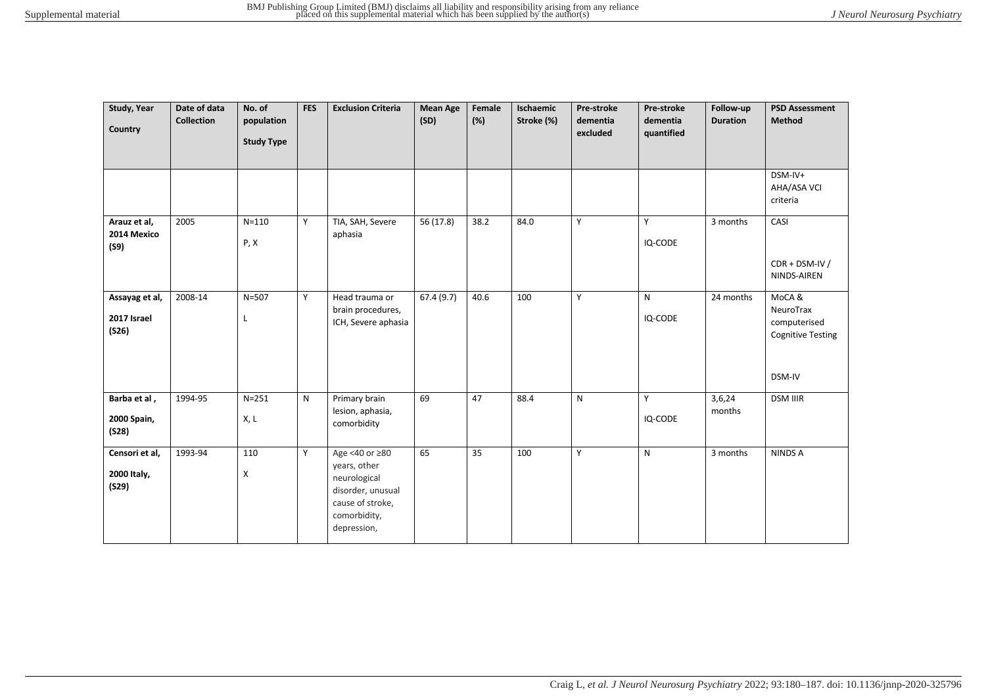| Study, Year<br>Country                 | Date of data<br><b>Collection</b> | No. of<br>population<br><b>Study Type</b> | <b>FES</b> | <b>Exclusion Criteria</b>                                                                                              | <b>Mean Age</b><br>(SD) | Female<br>(%) | Ischaemic<br>Stroke (%) | Pre-stroke<br>dementia<br>excluded | <b>Pre-stroke</b><br>dementia<br>quantified | Follow-up<br><b>Duration</b> | <b>PSD Assessment</b><br>Method                                          |
|----------------------------------------|-----------------------------------|-------------------------------------------|------------|------------------------------------------------------------------------------------------------------------------------|-------------------------|---------------|-------------------------|------------------------------------|---------------------------------------------|------------------------------|--------------------------------------------------------------------------|
|                                        |                                   |                                           |            |                                                                                                                        |                         |               |                         |                                    |                                             |                              | DSM-IV+<br>AHA/ASA VCI<br>criteria                                       |
| Arauz et al,<br>2014 Mexico<br>(S9)    | 2005                              | $N = 110$<br>P, X                         | Y          | TIA, SAH, Severe<br>aphasia                                                                                            | 56 (17.8)               | 38.2          | 84.0                    | Y                                  | Y<br>IQ-CODE                                | 3 months                     | CASI<br>$CDR + DSM-IV/$<br>NINDS-AIREN                                   |
| Assayag et al,<br>2017 Israel<br>(S26) | 2008-14                           | $N = 507$<br>Г                            | Y          | Head trauma or<br>brain procedures,<br>ICH, Severe aphasia                                                             | 67.4(9.7)               | 40.6          | 100                     | Y                                  | ${\sf N}$<br>IQ-CODE                        | 24 months                    | MoCA&<br>NeuroTrax<br>computerised<br><b>Cognitive Testing</b><br>DSM-IV |
| Barba et al,<br>2000 Spain,<br>(S28)   | 1994-95                           | $N = 251$<br>X, L                         | N          | Primary brain<br>lesion, aphasia,<br>comorbidity                                                                       | 69                      | 47            | 88.4                    | N                                  | Y<br>IQ-CODE                                | 3,6,24<br>months             | <b>DSM IIIR</b>                                                          |
| Censori et al,<br>2000 Italy,<br>(S29) | 1993-94                           | 110<br>X                                  | Y          | Age <40 or ≥80<br>years, other<br>neurological<br>disorder, unusual<br>cause of stroke,<br>comorbidity,<br>depression, | 65                      | 35            | 100                     | Y                                  | N                                           | 3 months                     | NINDS A                                                                  |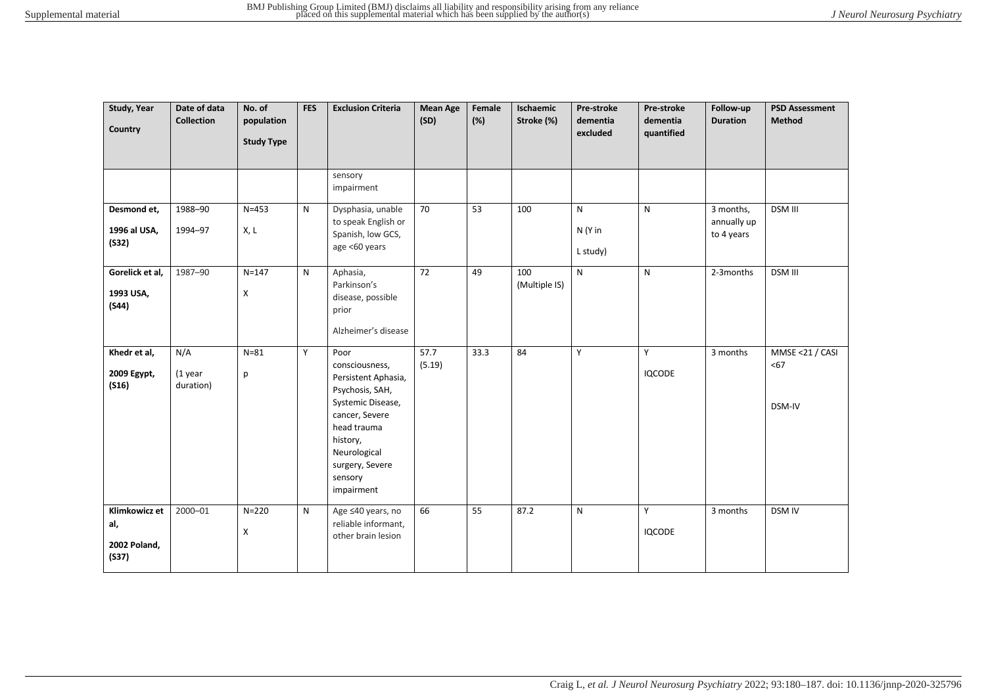| Study, Year<br>Country                        | Date of data<br><b>Collection</b> | No. of<br>population<br><b>Study Type</b> | <b>FES</b>   | <b>Exclusion Criteria</b>                                                                                                                                                                      | <b>Mean Age</b><br>(SD) | Female<br>(%) | Ischaemic<br>Stroke (%) | Pre-stroke<br>dementia<br>excluded  | Pre-stroke<br>dementia<br>quantified | Follow-up<br><b>Duration</b>           | <b>PSD Assessment</b><br><b>Method</b> |
|-----------------------------------------------|-----------------------------------|-------------------------------------------|--------------|------------------------------------------------------------------------------------------------------------------------------------------------------------------------------------------------|-------------------------|---------------|-------------------------|-------------------------------------|--------------------------------------|----------------------------------------|----------------------------------------|
|                                               |                                   |                                           |              | sensory<br>impairment                                                                                                                                                                          |                         |               |                         |                                     |                                      |                                        |                                        |
| Desmond et,<br>1996 al USA,<br>(S32)          | 1988-90<br>1994-97                | $N = 453$<br>X, L                         | N            | Dysphasia, unable<br>to speak English or<br>Spanish, low GCS,<br>age <60 years                                                                                                                 | 70                      | 53            | 100                     | $\mathsf{N}$<br>N (Y in<br>L study) | N                                    | 3 months,<br>annually up<br>to 4 years | <b>DSM III</b>                         |
| Gorelick et al,<br>1993 USA,<br>(S44)         | 1987-90                           | $N = 147$<br>X                            | N            | Aphasia,<br>Parkinson's<br>disease, possible<br>prior<br>Alzheimer's disease                                                                                                                   | $\overline{72}$         | 49            | 100<br>(Multiple IS)    | N.                                  | $\mathsf{N}$                         | 2-3months                              | DSM III                                |
| Khedr et al,<br>2009 Egypt,<br>(S16)          | N/A<br>(1 year<br>duration)       | $N = 81$<br>р                             | Y            | Poor<br>consciousness,<br>Persistent Aphasia,<br>Psychosis, SAH,<br>Systemic Disease,<br>cancer, Severe<br>head trauma<br>history,<br>Neurological<br>surgery, Severe<br>sensory<br>impairment | 57.7<br>(5.19)          | 33.3          | 84                      | Y                                   | Y<br><b>IQCODE</b>                   | 3 months                               | MMSE <21 / CASI<br>$67$<br>DSM-IV      |
| Klimkowicz et<br>al,<br>2002 Poland,<br>(S37) | 2000-01                           | $N = 220$<br>X                            | $\mathsf{N}$ | Age ≤40 years, no<br>reliable informant,<br>other brain lesion                                                                                                                                 | 66                      | 55            | 87.2                    | N                                   | Y<br><b>IQCODE</b>                   | 3 months                               | <b>DSM IV</b>                          |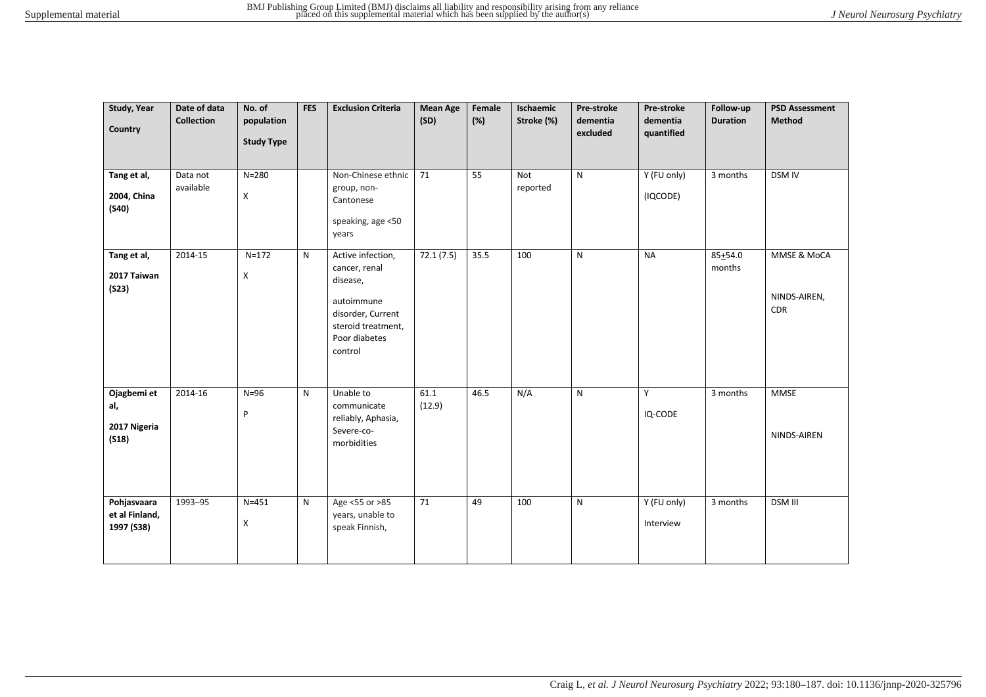| Study, Year<br>Country                      | Date of data<br><b>Collection</b> | No. of<br>population<br><b>Study Type</b> | <b>FES</b> | <b>Exclusion Criteria</b>                                                                                                           | <b>Mean Age</b><br>(SD) | Female<br>(%) | Ischaemic<br>Stroke (%) | Pre-stroke<br>dementia<br>excluded | Pre-stroke<br>dementia<br>quantified | Follow-up<br><b>Duration</b> | <b>PSD Assessment</b><br><b>Method</b>    |
|---------------------------------------------|-----------------------------------|-------------------------------------------|------------|-------------------------------------------------------------------------------------------------------------------------------------|-------------------------|---------------|-------------------------|------------------------------------|--------------------------------------|------------------------------|-------------------------------------------|
| Tang et al,<br>2004, China<br>(S40)         | Data not<br>available             | $N = 280$<br>X                            |            | Non-Chinese ethnic<br>group, non-<br>Cantonese<br>speaking, age <50<br>years                                                        | 71                      | 55            | Not<br>reported         | ${\sf N}$                          | Y (FU only)<br>(IQCODE)              | 3 months                     | DSM IV                                    |
| Tang et al,<br>2017 Taiwan<br>(S23)         | 2014-15                           | $N = 172$<br>X                            | N          | Active infection,<br>cancer, renal<br>disease,<br>autoimmune<br>disorder, Current<br>steroid treatment,<br>Poor diabetes<br>control | 72.1(7.5)               | 35.5          | 100                     | $\mathsf{N}$                       | <b>NA</b>                            | $85 + 54.0$<br>months        | MMSE & MoCA<br>NINDS-AIREN,<br><b>CDR</b> |
| Ojagbemi et<br>al,<br>2017 Nigeria<br>(S18) | 2014-16                           | $N=96$<br>${\sf P}$                       | N          | Unable to<br>communicate<br>reliably, Aphasia,<br>Severe-co-<br>morbidities                                                         | 61.1<br>(12.9)          | 46.5          | N/A                     | $\mathsf{N}$                       | Υ<br>IQ-CODE                         | 3 months                     | <b>MMSE</b><br>NINDS-AIREN                |
| Pohjasvaara<br>et al Finland,<br>1997 (S38) | 1993-95                           | $N = 451$<br>X                            | N          | Age <55 or >85<br>years, unable to<br>speak Finnish,                                                                                | 71                      | 49            | 100                     | ${\sf N}$                          | Y (FU only)<br>Interview             | 3 months                     | <b>DSM III</b>                            |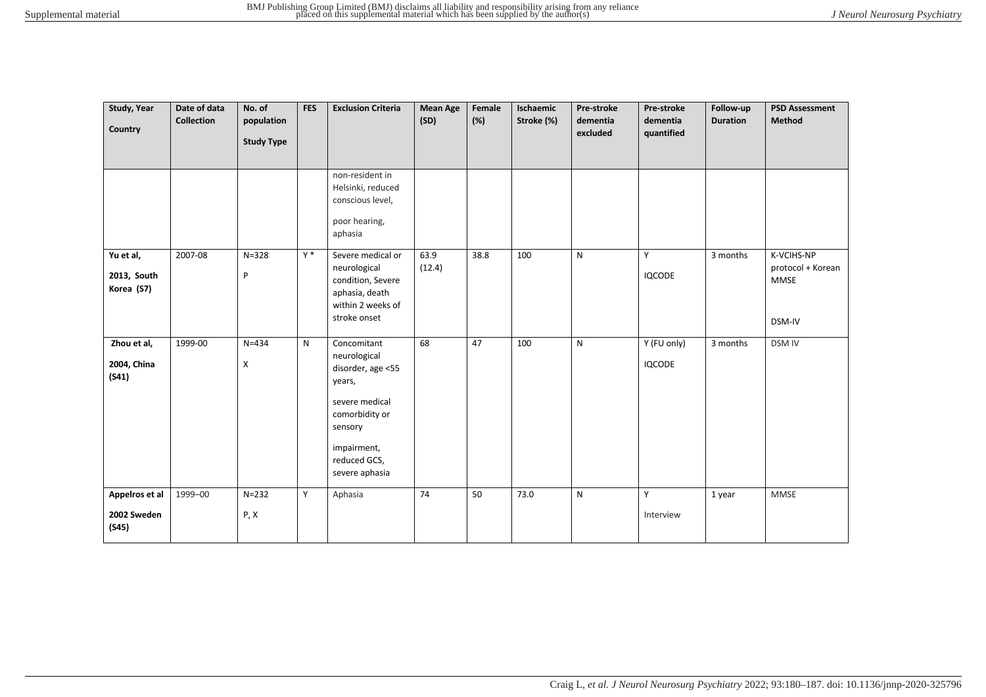| Study, Year<br>Country                 | Date of data<br><b>Collection</b> | No. of<br>population<br><b>Study Type</b> | <b>FES</b> | <b>Exclusion Criteria</b>                                                                                                                                  | <b>Mean Age</b><br>(SD) | Female<br>(%) | Ischaemic<br>Stroke (%) | Pre-stroke<br>dementia<br>excluded | Pre-stroke<br>dementia<br>quantified | Follow-up<br><b>Duration</b> | <b>PSD Assessment</b><br>Method                   |
|----------------------------------------|-----------------------------------|-------------------------------------------|------------|------------------------------------------------------------------------------------------------------------------------------------------------------------|-------------------------|---------------|-------------------------|------------------------------------|--------------------------------------|------------------------------|---------------------------------------------------|
|                                        |                                   |                                           |            | non-resident in<br>Helsinki, reduced<br>conscious level,<br>poor hearing,<br>aphasia                                                                       |                         |               |                         |                                    |                                      |                              |                                                   |
| Yu et al,<br>2013, South<br>Korea (S7) | 2007-08                           | $N = 328$<br>P                            | $Y^*$      | Severe medical or<br>neurological<br>condition, Severe<br>aphasia, death<br>within 2 weeks of<br>stroke onset                                              | 63.9<br>(12.4)          | 38.8          | 100                     | $\mathsf{N}$                       | Y<br><b>IQCODE</b>                   | 3 months                     | K-VCIHS-NP<br>protocol + Korean<br>MMSE<br>DSM-IV |
| Zhou et al,<br>2004, China<br>(S41)    | 1999-00                           | $N = 434$<br>X                            | N          | Concomitant<br>neurological<br>disorder, age <55<br>years,<br>severe medical<br>comorbidity or<br>sensory<br>impairment,<br>reduced GCS,<br>severe aphasia | 68                      | 47            | 100                     | $\mathsf{N}$                       | Y (FU only)<br><b>IQCODE</b>         | 3 months                     | <b>DSM IV</b>                                     |
| Appelros et al<br>2002 Sweden<br>(S45) | 1999-00                           | $N = 232$<br>P, X                         | Y          | Aphasia                                                                                                                                                    | 74                      | 50            | 73.0                    | ${\sf N}$                          | Y<br>Interview                       | 1 year                       | MMSE                                              |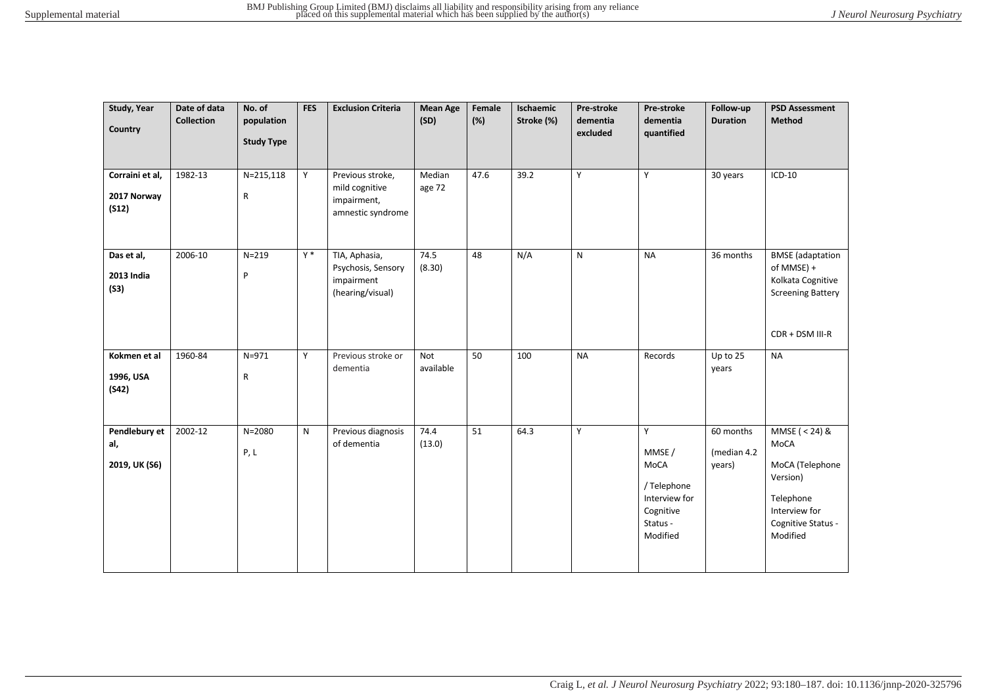| Study, Year<br>Country                  | Date of data<br><b>Collection</b> | No. of<br>population<br><b>Study Type</b> | <b>FES</b> | <b>Exclusion Criteria</b>                                              | <b>Mean Age</b><br>(SD) | Female<br>(%) | Ischaemic<br>Stroke (%) | Pre-stroke<br>dementia<br>excluded | Pre-stroke<br>dementia<br>quantified                                                     | Follow-up<br><b>Duration</b>       | <b>PSD Assessment</b><br><b>Method</b>                                                                                  |
|-----------------------------------------|-----------------------------------|-------------------------------------------|------------|------------------------------------------------------------------------|-------------------------|---------------|-------------------------|------------------------------------|------------------------------------------------------------------------------------------|------------------------------------|-------------------------------------------------------------------------------------------------------------------------|
| Corraini et al,<br>2017 Norway<br>(S12) | 1982-13                           | $N = 215, 118$<br>$\mathsf R$             | Y          | Previous stroke,<br>mild cognitive<br>impairment,<br>amnestic syndrome | Median<br>age 72        | 47.6          | 39.2                    | Y                                  | Y                                                                                        | 30 years                           | $ICD-10$                                                                                                                |
| Das et al,<br>2013 India<br>(S3)        | 2006-10                           | $N = 219$<br>P                            | $Y^*$      | TIA, Aphasia,<br>Psychosis, Sensory<br>impairment<br>(hearing/visual)  | 74.5<br>(8.30)          | 48            | N/A                     | $\mathsf{N}$                       | <b>NA</b>                                                                                | $\overline{36}$ months             | <b>BMSE</b> (adaptation<br>of MMSE) +<br>Kolkata Cognitive<br><b>Screening Battery</b><br>CDR + DSM III-R               |
| Kokmen et al<br>1996, USA<br>(S42)      | 1960-84                           | $N = 971$<br>$\mathsf R$                  | Y          | Previous stroke or<br>dementia                                         | Not<br>available        | 50            | 100                     | <b>NA</b>                          | Records                                                                                  | Up to 25<br>years                  | <b>NA</b>                                                                                                               |
| Pendlebury et<br>al,<br>2019, UK (S6)   | 2002-12                           | $N = 2080$<br>P, L                        | N          | Previous diagnosis<br>of dementia                                      | 74.4<br>(13.0)          | 51            | 64.3                    | Y                                  | Y<br>MMSE /<br>MoCA<br>/ Telephone<br>Interview for<br>Cognitive<br>Status -<br>Modified | 60 months<br>(median 4.2<br>years) | MMSE ( $<$ 24) &<br>MoCA<br>MoCA (Telephone<br>Version)<br>Telephone<br>Interview for<br>Cognitive Status -<br>Modified |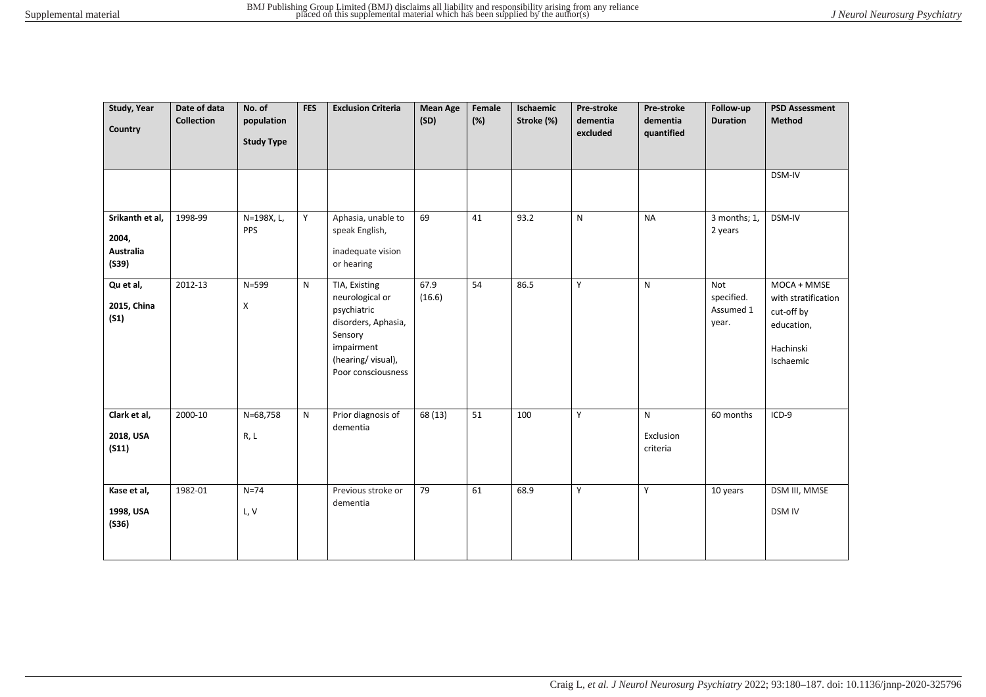| Study, Year<br>Country                                | Date of data<br><b>Collection</b> | No. of<br>population<br><b>Study Type</b> | <b>FES</b> | <b>Exclusion Criteria</b>                                                                                                                  | <b>Mean Age</b><br>(SD) | Female<br>(%) | Ischaemic<br>Stroke (%) | Pre-stroke<br>dementia<br>excluded | Pre-stroke<br>dementia<br>quantified | Follow-up<br><b>Duration</b>            | <b>PSD Assessment</b><br>Method                                                          |
|-------------------------------------------------------|-----------------------------------|-------------------------------------------|------------|--------------------------------------------------------------------------------------------------------------------------------------------|-------------------------|---------------|-------------------------|------------------------------------|--------------------------------------|-----------------------------------------|------------------------------------------------------------------------------------------|
|                                                       |                                   |                                           |            |                                                                                                                                            |                         |               |                         |                                    |                                      |                                         | DSM-IV                                                                                   |
| Srikanth et al,<br>2004,<br><b>Australia</b><br>(S39) | 1998-99                           | N=198X, L,<br><b>PPS</b>                  | Y          | Aphasia, unable to<br>speak English,<br>inadequate vision<br>or hearing                                                                    | 69                      | 41            | 93.2                    | $\mathsf{N}$                       | <b>NA</b>                            | 3 months; 1,<br>2 years                 | DSM-IV                                                                                   |
| Qu et al,<br>2015, China<br>(S1)                      | 2012-13                           | $N = 599$<br>X                            | N          | TIA, Existing<br>neurological or<br>psychiatric<br>disorders, Aphasia,<br>Sensory<br>impairment<br>(hearing/visual),<br>Poor consciousness | 67.9<br>(16.6)          | 54            | 86.5                    | Y                                  | $\mathsf{N}$                         | Not<br>specified.<br>Assumed 1<br>year. | MOCA + MMSE<br>with stratification<br>cut-off by<br>education,<br>Hachinski<br>Ischaemic |
| Clark et al,<br>2018, USA<br>(S11)                    | 2000-10                           | N=68,758<br>R, L                          | ${\sf N}$  | Prior diagnosis of<br>dementia                                                                                                             | 68 (13)                 | 51            | 100                     | Y                                  | N<br>Exclusion<br>criteria           | 60 months                               | $ICD-9$                                                                                  |
| Kase et al,<br>1998, USA<br>(S36)                     | 1982-01                           | $N=74$<br>L, V                            |            | Previous stroke or<br>dementia                                                                                                             | 79                      | 61            | 68.9                    | Y                                  | Y                                    | 10 years                                | DSM III, MMSE<br><b>DSM IV</b>                                                           |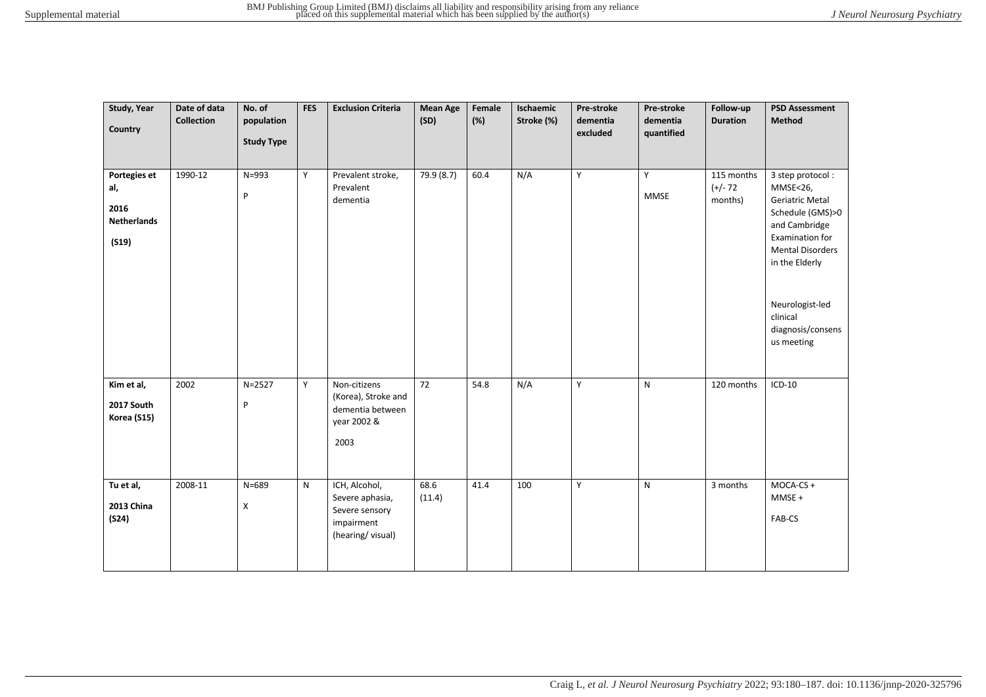| Study, Year<br>Country                                     | Date of data<br><b>Collection</b> | No. of<br>population<br><b>Study Type</b> | <b>FES</b> | <b>Exclusion Criteria</b>                                                            | <b>Mean Age</b><br>(SD) | Female<br>(%) | Ischaemic<br>Stroke (%) | Pre-stroke<br>dementia<br>excluded | Pre-stroke<br>dementia<br>quantified | Follow-up<br><b>Duration</b>        | <b>PSD Assessment</b><br>Method                                                                                                                                                                                        |
|------------------------------------------------------------|-----------------------------------|-------------------------------------------|------------|--------------------------------------------------------------------------------------|-------------------------|---------------|-------------------------|------------------------------------|--------------------------------------|-------------------------------------|------------------------------------------------------------------------------------------------------------------------------------------------------------------------------------------------------------------------|
| Portegies et<br>al,<br>2016<br><b>Netherlands</b><br>(S19) | 1990-12                           | $N = 993$<br>P                            | Y          | Prevalent stroke,<br>Prevalent<br>dementia                                           | 79.9 (8.7)              | 60.4          | N/A                     | Y                                  | Y<br><b>MMSE</b>                     | 115 months<br>$(+/- 72)$<br>months) | 3 step protocol:<br>MMSE<26,<br>Geriatric Metal<br>Schedule (GMS)>0<br>and Cambridge<br>Examination for<br><b>Mental Disorders</b><br>in the Elderly<br>Neurologist-led<br>clinical<br>diagnosis/consens<br>us meeting |
| Kim et al,<br>2017 South<br>Korea (S15)                    | 2002                              | $N = 2527$<br>P                           | Y          | Non-citizens<br>(Korea), Stroke and<br>dementia between<br>year 2002 &<br>2003       | $\overline{72}$         | 54.8          | N/A                     | Y                                  | $\mathsf{N}$                         | 120 months                          | $ICD-10$                                                                                                                                                                                                               |
| Tu et al,<br><b>2013 China</b><br>(S24)                    | 2008-11                           | $N = 689$<br>Χ                            | N          | ICH, Alcohol,<br>Severe aphasia,<br>Severe sensory<br>impairment<br>(hearing/visual) | 68.6<br>(11.4)          | 41.4          | 100                     | Y                                  | ${\sf N}$                            | 3 months                            | MOCA-CS +<br>$MMSE +$<br>FAB-CS                                                                                                                                                                                        |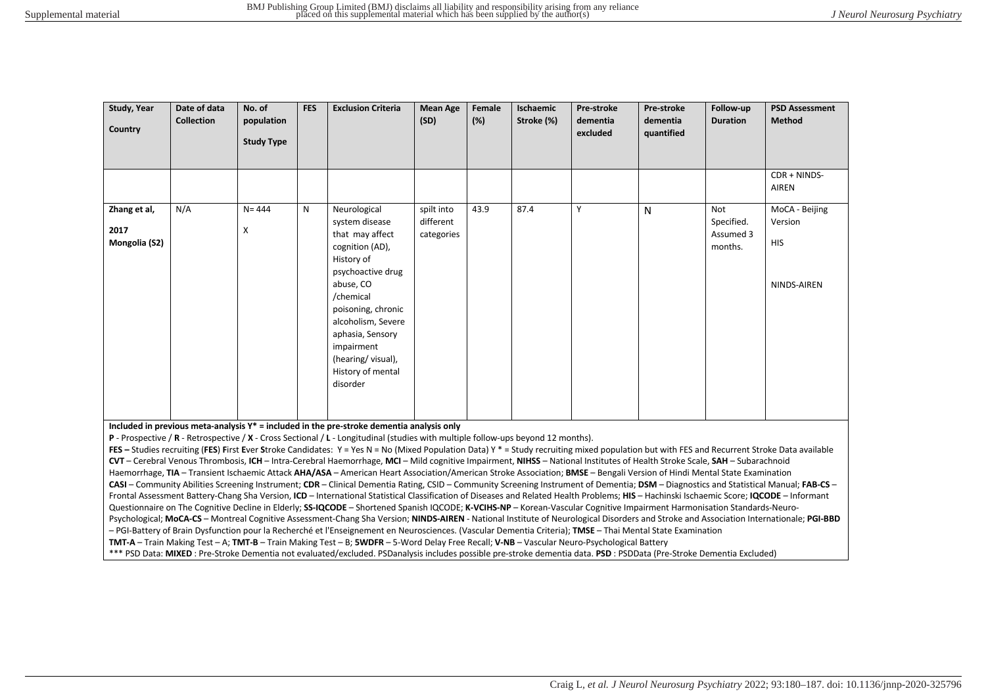| Study, Year<br>Country                | Date of data<br><b>Collection</b> | No. of<br>population<br><b>Study Type</b> | <b>FES</b> | <b>Exclusion Criteria</b>                                                                                                                                                                                                                                             | <b>Mean Age</b><br>(SD)               | Female<br>(%) | Ischaemic<br>Stroke (%) | Pre-stroke<br>dementia<br>excluded | <b>Pre-stroke</b><br>dementia<br>quantified | Follow-up<br><b>Duration</b>              | <b>PSD Assessment</b><br>Method                        |
|---------------------------------------|-----------------------------------|-------------------------------------------|------------|-----------------------------------------------------------------------------------------------------------------------------------------------------------------------------------------------------------------------------------------------------------------------|---------------------------------------|---------------|-------------------------|------------------------------------|---------------------------------------------|-------------------------------------------|--------------------------------------------------------|
|                                       |                                   |                                           |            |                                                                                                                                                                                                                                                                       |                                       |               |                         |                                    |                                             |                                           | CDR + NINDS-<br><b>AIREN</b>                           |
| Zhang et al,<br>2017<br>Mongolia (S2) | N/A                               | $N = 444$<br>X                            | N          | Neurological<br>system disease<br>that may affect<br>cognition (AD),<br>History of<br>psychoactive drug<br>abuse, CO<br>/chemical<br>poisoning, chronic<br>alcoholism, Severe<br>aphasia, Sensory<br>impairment<br>(hearing/visual),<br>History of mental<br>disorder | spilt into<br>different<br>categories | 43.9          | 87.4                    | Y                                  | N                                           | Not<br>Specified.<br>Assumed 3<br>months. | MoCA - Beijing<br>Version<br><b>HIS</b><br>NINDS-AIREN |

**Included in previous meta-analysis Y\* = included in the pre-stroke dementia analysis only**

**P** - Prospective / **R** - Retrospective / **X** - Cross Sectional / **L** - Longitudinal (studies with multiple follow-ups beyond 12 months).

**FES –** Studies recruiting (**FES**) **F**irst **E**ver **S**troke Candidates: Y = Yes N = No (Mixed Population Data) Y \* = Study recruiting mixed population but with FES and Recurrent Stroke Data available **CVT** – Cerebral Venous Thrombosis, **ICH** – Intra-Cerebral Haemorrhage, **MCI** – Mild cognitive Impairment, **NIHSS** – National Institutes of Health Stroke Scale, **SAH** – Subarachnoid Haemorrhage, **TIA** – Transient Ischaemic Attack **AHA/ASA** – American Heart Association/American Stroke Association; **BMSE** – Bengali Version of Hindi Mental State Examination **CASI** – Community Abilities Screening Instrument; **CDR** – Clinical Dementia Rating, CSID – Community Screening Instrument of Dementia; **DSM** – Diagnostics and Statistical Manual; **FAB-CS** – Frontal Assessment Battery-Chang Sha Version, **ICD** – International Statistical Classification of Diseases and Related Health Problems; **HIS** – Hachinski Ischaemic Score; **IQCODE** – Informant Questionnaire on The Cognitive Decline in Elderly; **SS-IQCODE** – Shortened Spanish IQCODE; **K-VCIHS-NP** – Korean-Vascular Cognitive Impairment Harmonisation Standards-Neuro-Psychological; **MoCA-CS** – Montreal Cognitive Assessment-Chang Sha Version; **NINDS-AIREN** - National Institute of Neurological Disorders and Stroke and Association Internationale; **PGI-BBD** – PGI-Battery of Brain Dysfunction pour la Recherché et l'Enseignement en Neurosciences. (Vascular Dementia Criteria); **TMSE** – Thai Mental State Examination **TMT-A** – Train Making Test – A; **TMT-B** – Train Making Test – B; **5WDFR** – 5-Word Delay Free Recall; **V-NB** – Vascular Neuro-Psychological Battery

\*\*\* PSD Data: **MIXED** : Pre-Stroke Dementia not evaluated/excluded. PSDanalysis includes possible pre-stroke dementia data. **PSD** : PSDData (Pre-Stroke Dementia Excluded)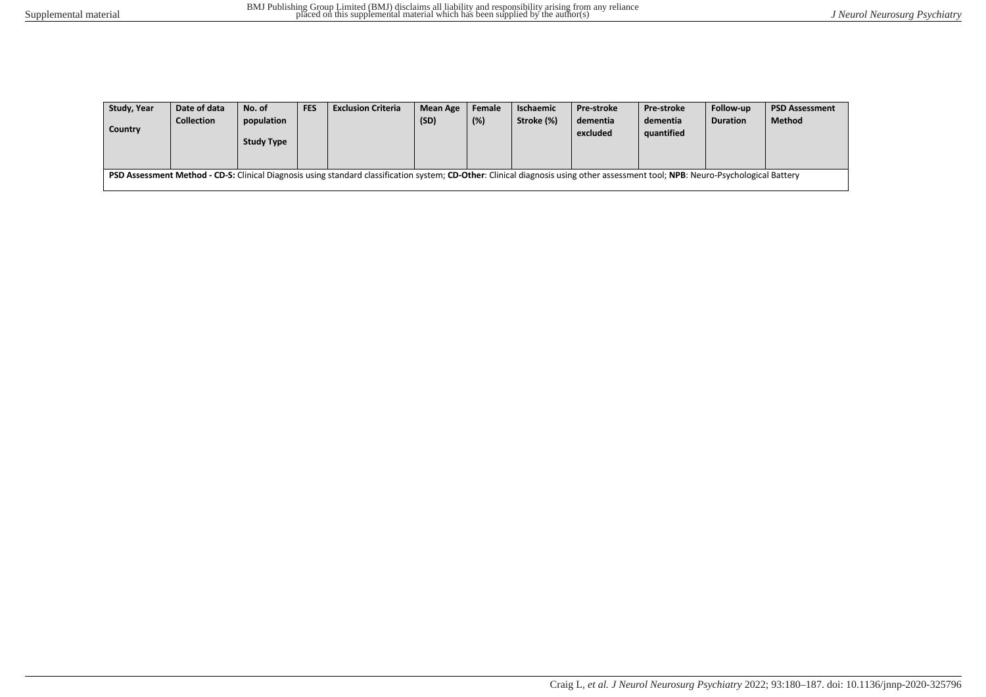| Study, Year                                                                                                                                                                       | Date of data      | No. of            | <b>FES</b> | <b>Exclusion Criteria</b> | <b>Mean Age</b> | Female | Ischaemic  | <b>Pre-stroke</b> | <b>Pre-stroke</b> | Follow-up       | <b>PSD Assessment</b> |
|-----------------------------------------------------------------------------------------------------------------------------------------------------------------------------------|-------------------|-------------------|------------|---------------------------|-----------------|--------|------------|-------------------|-------------------|-----------------|-----------------------|
|                                                                                                                                                                                   | <b>Collection</b> | population        |            |                           | (SD)            | (%)    | Stroke (%) | dementia          | dementia          | <b>Duration</b> | <b>Method</b>         |
| <b>Country</b>                                                                                                                                                                    |                   |                   |            |                           |                 |        |            | excluded          | quantified        |                 |                       |
|                                                                                                                                                                                   |                   | <b>Study Type</b> |            |                           |                 |        |            |                   |                   |                 |                       |
|                                                                                                                                                                                   |                   |                   |            |                           |                 |        |            |                   |                   |                 |                       |
| PSD Assessment Method - CD-S: Clinical Diagnosis using standard classification system; CD-Other: Clinical diagnosis using other assessment tool; NPB: Neuro-Psychological Battery |                   |                   |            |                           |                 |        |            |                   |                   |                 |                       |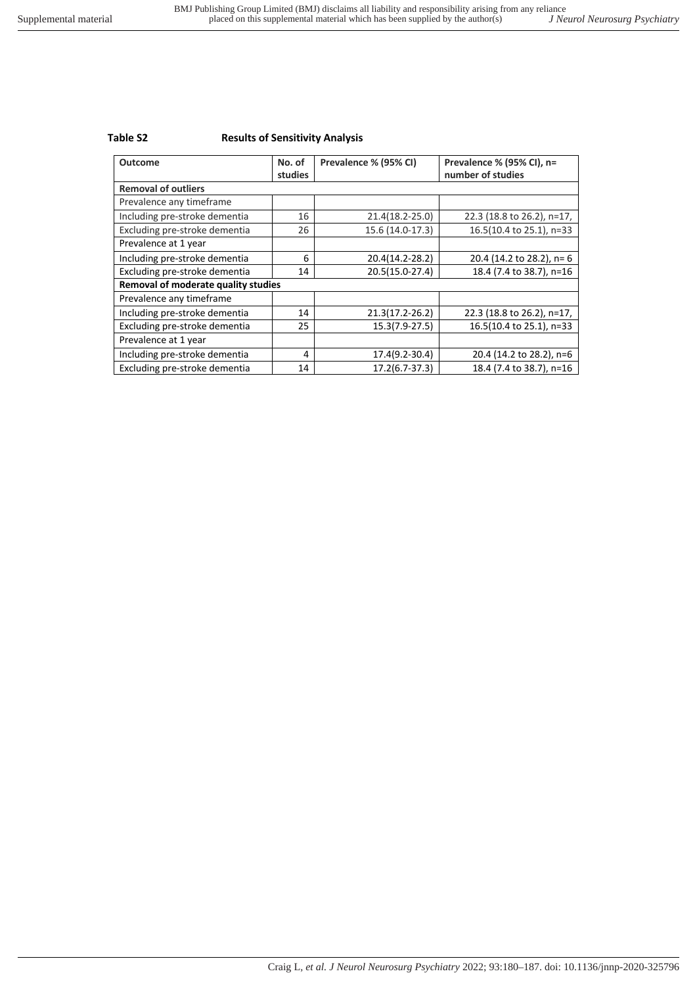## **Table S2 Results of Sensitivity Analysis**

| <b>Outcome</b>                      | No. of<br>studies | Prevalence % (95% CI) | Prevalence % (95% CI), n=<br>number of studies |
|-------------------------------------|-------------------|-----------------------|------------------------------------------------|
| <b>Removal of outliers</b>          |                   |                       |                                                |
| Prevalence any timeframe            |                   |                       |                                                |
| Including pre-stroke dementia       | 16                | 21.4(18.2-25.0)       | 22.3 (18.8 to 26.2), n=17,                     |
| Excluding pre-stroke dementia       | 26                | 15.6 (14.0-17.3)      | 16.5(10.4 to 25.1), n=33                       |
| Prevalence at 1 year                |                   |                       |                                                |
| Including pre-stroke dementia       | 6                 | 20.4(14.2-28.2)       | 20.4 (14.2 to 28.2), n= 6                      |
| Excluding pre-stroke dementia       | 14                | 20.5(15.0-27.4)       | 18.4 (7.4 to 38.7), n=16                       |
| Removal of moderate quality studies |                   |                       |                                                |
| Prevalence any timeframe            |                   |                       |                                                |
| Including pre-stroke dementia       | 14                | 21.3(17.2-26.2)       | 22.3 (18.8 to 26.2), n=17,                     |
| Excluding pre-stroke dementia       | 25                | 15.3(7.9-27.5)        | 16.5(10.4 to 25.1), n=33                       |
| Prevalence at 1 year                |                   |                       |                                                |
| Including pre-stroke dementia       | 4                 | 17.4(9.2-30.4)        | 20.4 (14.2 to 28.2), n=6                       |
| Excluding pre-stroke dementia       | 14                | 17.2(6.7-37.3)        | 18.4 (7.4 to 38.7), n=16                       |